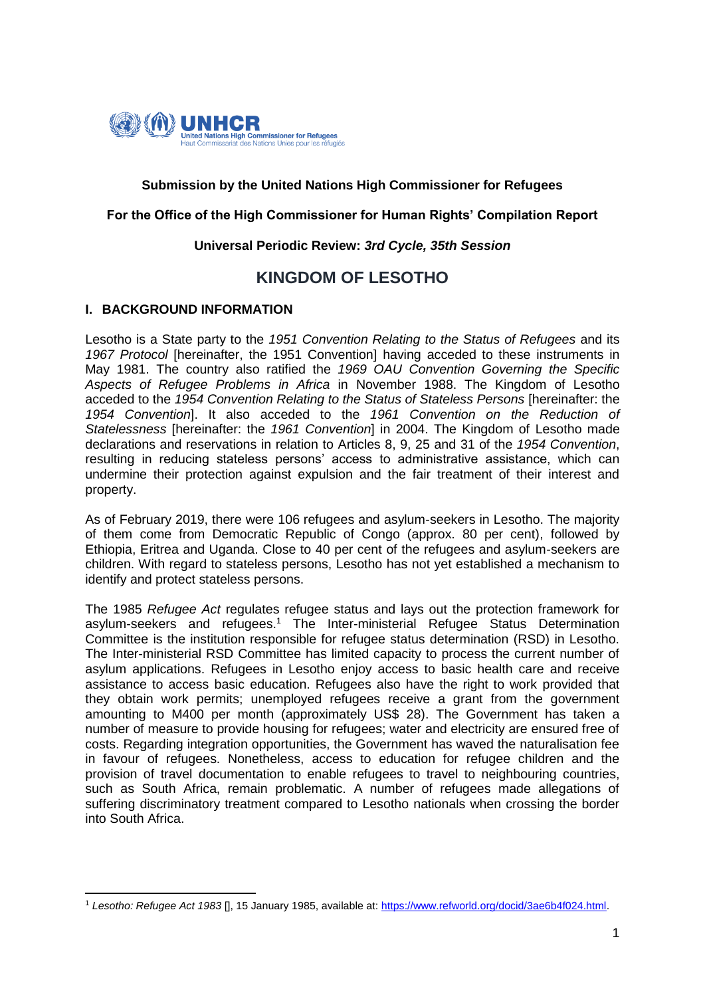

# **Submission by the United Nations High Commissioner for Refugees**

#### **For the Office of the High Commissioner for Human Rights' Compilation Report**

#### **Universal Periodic Review:** *3rd Cycle, 35th Session*

# **KINGDOM OF LESOTHO**

#### **I. BACKGROUND INFORMATION**

Lesotho is a State party to the *1951 Convention Relating to the Status of Refugees* and its *1967 Protocol* [hereinafter, the 1951 Convention] having acceded to these instruments in May 1981. The country also ratified the *1969 OAU Convention Governing the Specific Aspects of Refugee Problems in Africa* in November 1988. The Kingdom of Lesotho acceded to the *1954 Convention Relating to the Status of Stateless Persons* [hereinafter: the *1954 Convention*]. It also acceded to the *1961 Convention on the Reduction of Statelessness* [hereinafter: the *1961 Convention*] in 2004. The Kingdom of Lesotho made declarations and reservations in relation to Articles 8, 9, 25 and 31 of the *1954 Convention*, resulting in reducing stateless persons' access to administrative assistance, which can undermine their protection against expulsion and the fair treatment of their interest and property.

As of February 2019, there were 106 refugees and asylum-seekers in Lesotho. The majority of them come from Democratic Republic of Congo (approx. 80 per cent), followed by Ethiopia, Eritrea and Uganda. Close to 40 per cent of the refugees and asylum-seekers are children. With regard to stateless persons, Lesotho has not yet established a mechanism to identify and protect stateless persons.

The 1985 *Refugee Act* regulates refugee status and lays out the protection framework for asylum-seekers and refugees.<sup>1</sup> The Inter-ministerial Refugee Status Determination Committee is the institution responsible for refugee status determination (RSD) in Lesotho. The Inter-ministerial RSD Committee has limited capacity to process the current number of asylum applications. Refugees in Lesotho enjoy access to basic health care and receive assistance to access basic education. Refugees also have the right to work provided that they obtain work permits; unemployed refugees receive a grant from the government amounting to M400 per month (approximately US\$ 28). The Government has taken a number of measure to provide housing for refugees; water and electricity are ensured free of costs. Regarding integration opportunities, the Government has waved the naturalisation fee in favour of refugees. Nonetheless, access to education for refugee children and the provision of travel documentation to enable refugees to travel to neighbouring countries, such as South Africa, remain problematic. A number of refugees made allegations of suffering discriminatory treatment compared to Lesotho nationals when crossing the border into South Africa.

<sup>1</sup> <sup>1</sup> *Lesotho: Refugee Act 1983* [], 15 January 1985, available at: [https://www.refworld.org/docid/3ae6b4f024.html.](https://www.refworld.org/docid/3ae6b4f024.html)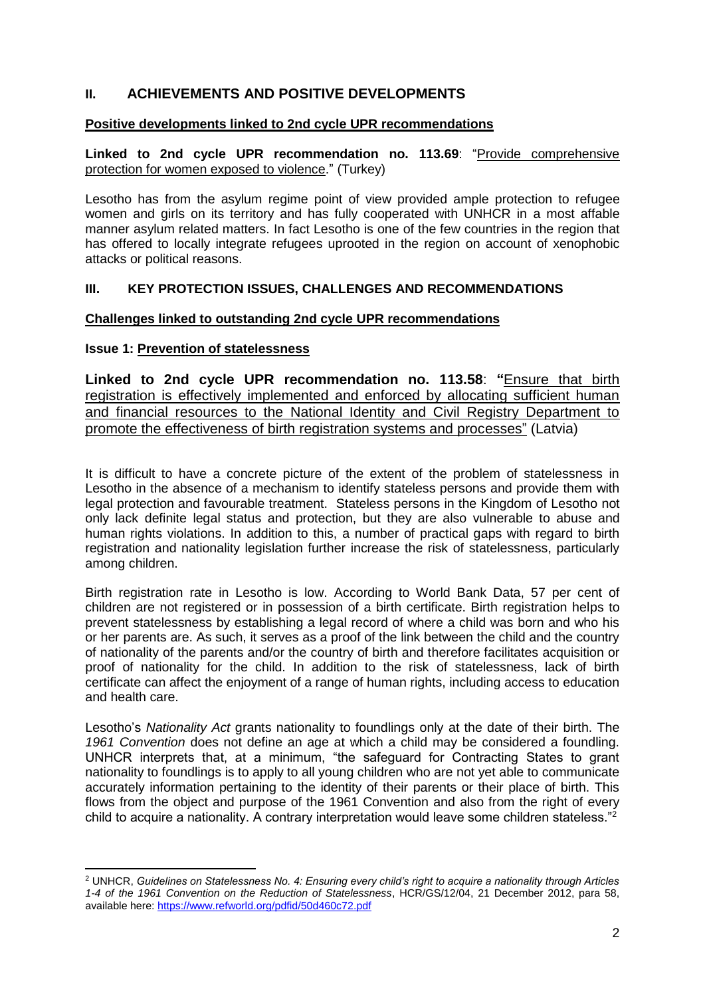# **II. ACHIEVEMENTS AND POSITIVE DEVELOPMENTS**

#### **Positive developments linked to 2nd cycle UPR recommendations**

**Linked to 2nd cycle UPR recommendation no. 113.69**: "Provide comprehensive protection for women exposed to violence." (Turkey)

Lesotho has from the asylum regime point of view provided ample protection to refugee women and girls on its territory and has fully cooperated with UNHCR in a most affable manner asylum related matters. In fact Lesotho is one of the few countries in the region that has offered to locally integrate refugees uprooted in the region on account of xenophobic attacks or political reasons.

#### **III. KEY PROTECTION ISSUES, CHALLENGES AND RECOMMENDATIONS**

#### **Challenges linked to outstanding 2nd cycle UPR recommendations**

# **Issue 1: Prevention of statelessness**

**.** 

**Linked to 2nd cycle UPR recommendation no. 113.58**: **"**Ensure that birth registration is effectively implemented and enforced by allocating sufficient human and financial resources to the National Identity and Civil Registry Department to promote the effectiveness of birth registration systems and processes" (Latvia)

It is difficult to have a concrete picture of the extent of the problem of statelessness in Lesotho in the absence of a mechanism to identify stateless persons and provide them with legal protection and favourable treatment. Stateless persons in the Kingdom of Lesotho not only lack definite legal status and protection, but they are also vulnerable to abuse and human rights violations. In addition to this, a number of practical gaps with regard to birth registration and nationality legislation further increase the risk of statelessness, particularly among children.

Birth registration rate in Lesotho is low. According to World Bank Data, 57 per cent of children are not registered or in possession of a birth certificate. Birth registration helps to prevent statelessness by establishing a legal record of where a child was born and who his or her parents are. As such, it serves as a proof of the link between the child and the country of nationality of the parents and/or the country of birth and therefore facilitates acquisition or proof of nationality for the child. In addition to the risk of statelessness, lack of birth certificate can affect the enjoyment of a range of human rights, including access to education and health care.

Lesotho's *Nationality Act* grants nationality to foundlings only at the date of their birth. The *1961 Convention* does not define an age at which a child may be considered a foundling. UNHCR interprets that, at a minimum, "the safeguard for Contracting States to grant nationality to foundlings is to apply to all young children who are not yet able to communicate accurately information pertaining to the identity of their parents or their place of birth. This flows from the object and purpose of the 1961 Convention and also from the right of every child to acquire a nationality. A contrary interpretation would leave some children stateless."<sup>2</sup>

<sup>2</sup> UNHCR, *Guidelines on Statelessness No. 4: Ensuring every child's right to acquire a nationality through Articles 1-4 of the 1961 Convention on the Reduction of Statelessness*, HCR/GS/12/04, 21 December 2012, para 58, available here:<https://www.refworld.org/pdfid/50d460c72.pdf>